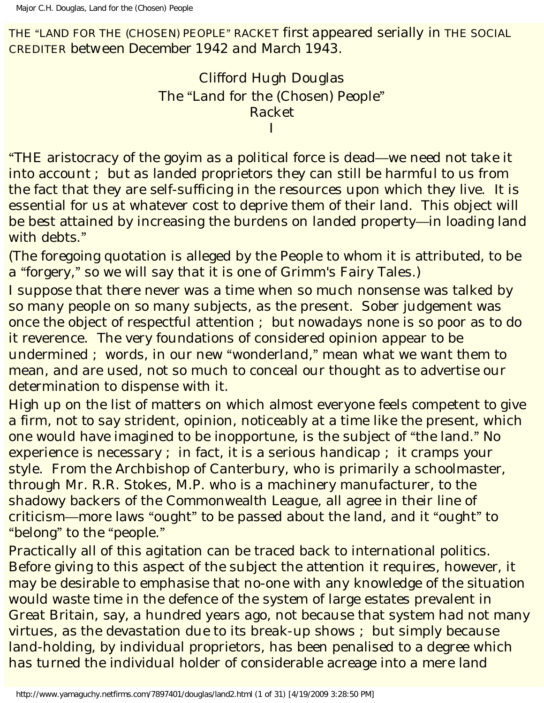THE "LAND FOR THE (CHOSEN) PEOPLE" RACKET *first appeared serially in* THE SOCIAL CREDITER *between December 1942 and March 1943*.

> Clifford Hugh Douglas The "Land for the (Chosen) People" Racket I

"THE aristocracy of the goyim as a political force is dead—we need not take it into account ; but as landed proprietors they can still be harmful to us from the fact that they are self-sufficing in the resources upon which they live. It is essential for us at whatever cost to deprive them of their land. This object will be best attained by increasing the burdens on landed property—in loading land with debts."

(The foregoing quotation is alleged by the People to whom it is attributed, to be a "forgery," so we will say that it is one of Grimm's Fairy Tales.)

I suppose that there never was a time when so much nonsense was talked by so many people on so many subjects, as the present. Sober judgement was once the object of respectful attention ; but nowadays none is so poor as to do it reverence. The very foundations of considered opinion appear to be undermined ; words, in our new "wonderland," mean what we want them to mean, and are used, not so much to conceal our thought as to advertise our determination to dispense with it.

High up on the list of matters on which almost everyone feels competent to give a firm, not to say strident, opinion, noticeably at a time like the present, which one would have imagined to be inopportune, is the subject of "the land." No experience is necessary ; in fact, it is a serious handicap ; it cramps your style. From the Archbishop of Canterbury, who is primarily a schoolmaster, through Mr. R.R. Stokes, M.P. who is a machinery manufacturer, to the shadowy backers of the Commonwealth League, all agree in their line of criticism—more laws "ought" to be passed about the land, and it "ought" to "belong" to the "people."

Practically all of this agitation can be traced back to international politics. Before giving to this aspect of the subject the attention it requires, however, it may be desirable to emphasise that no-one with any knowledge of the situation would waste time in the defence of the system of large estates prevalent in Great Britain, say, a hundred years ago, not because that system had not many virtues, as the devastation due to its break-up shows ; but simply because land-holding, by individual proprietors, has been penalised to a degree which has turned the individual holder of considerable acreage into a mere land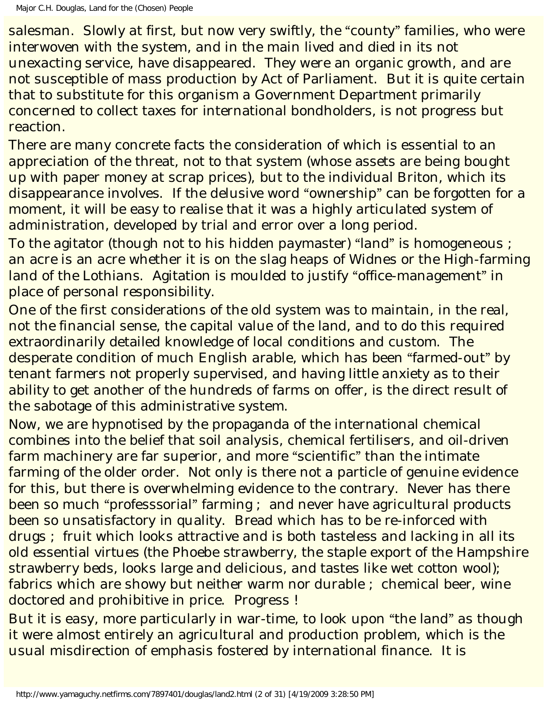salesman. Slowly at first, but now very swiftly, the "county" families, who were interwoven with the system, and in the main lived and died in its not unexacting service, have disappeared. They were an organic growth, and are not susceptible of mass production by Act of Parliament. But it is quite certain that to substitute for this organism a Government Department primarily concerned to collect taxes for international bondholders, is not progress but reaction.

There are many concrete facts the consideration of which is essential to an appreciation of the threat, not to that system (whose assets are being bought up with paper money at scrap prices), but to the individual Briton, which its disappearance involves. If the delusive word "ownership" can be forgotten for a moment, it will be easy to realise that it was a highly articulated system of administration, developed by trial and error over a long period.

To the agitator (though not to his hidden paymaster) "land" is homogeneous ; an acre is an acre whether it is on the slag heaps of Widnes or the High-farming land of the Lothians. Agitation is moulded to justify "office-management" in place of personal responsibility.

One of the first considerations of the old system was to maintain, in the real, not the financial sense, the capital value of the land, and to do this required extraordinarily detailed knowledge of local conditions and custom. The desperate condition of much English arable, which has been "farmed-out" by tenant farmers not properly supervised, and having little anxiety as to their ability to get another of the hundreds of farms on offer, is the direct result of the sabotage of this administrative system.

Now, we are hypnotised by the propaganda of the international chemical combines into the belief that soil analysis, chemical fertilisers, and oil-driven farm machinery are far superior, and more "scientific" than the intimate farming of the older order. Not only is there not a particle of genuine evidence for this, but there is overwhelming evidence to the contrary. Never has there been so much "professsorial" farming ; and never have agricultural products been so unsatisfactory in quality. Bread which has to be re-inforced with drugs ; fruit which looks attractive and is both tasteless and lacking in all its old essential virtues (the Phoebe strawberry, the staple export of the Hampshire strawberry beds, looks large and delicious, and tastes like wet cotton wool); fabrics which are showy but neither warm nor durable ; chemical beer, wine doctored and prohibitive in price. Progress !

But it is easy, more particularly in war-time, to look upon "the land" as though it were almost entirely an agricultural and production problem, which is the usual misdirection of emphasis fostered by international finance. It is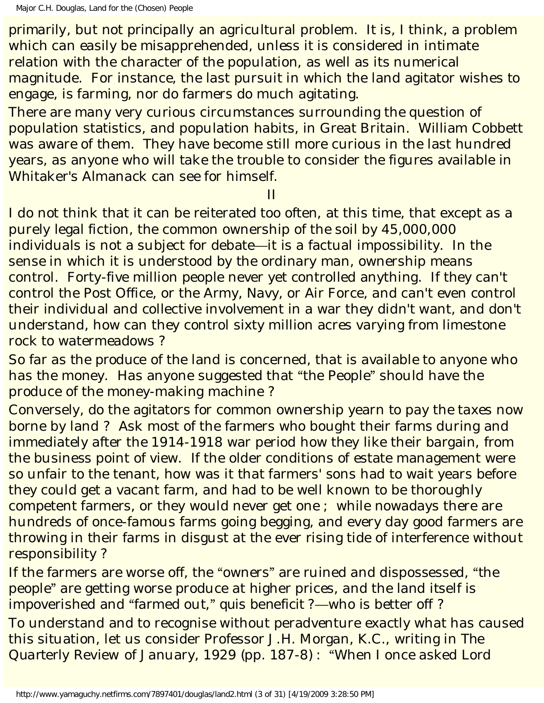Major C.H. Douglas, Land for the (Chosen) People

*primarily*, but not *principally* an agricultural problem. It is, I think, a problem which can easily be misapprehended, unless it is considered in intimate relation with the character of the population, as well as its numerical magnitude. For instance, the last pursuit in which the land agitator wishes to engage, is farming, nor do farmers do much agitating.

There are many very curious circumstances surrounding the question of population statistics, and population habits, in Great Britain. William Cobbett was aware of them. They have become still more curious in the last hundred years, as anyone who will take the trouble to consider the figures available in Whitaker's Almanack can see for himself.

II

I do not think that it can be reiterated too often, at this time, that except as a purely legal fiction, the common ownership of the soil by 45,000,000 individuals is not a subject for debate—it is a factual impossibility. In the sense in which it is understood by the ordinary man, ownership means control. Forty-five million people never yet controlled anything. If they can't control the Post Office, or the Army, Navy, or Air Force, and can't even control their individual and collective involvement in a war they didn't want, and don't understand, how can they control sixty million acres varying from limestone rock to watermeadows ?

So far as the *produce* of the land is concerned, that is available to anyone who has the money. Has anyone suggested that "the People" should have the produce of the money-making machine ?

Conversely, do the agitators for common ownership yearn to pay the taxes now borne by land ? Ask most of the farmers who bought their farms during and immediately after the 1914-1918 war period how they like their bargain, from the business point of view. If the older conditions of estate management were so unfair to the tenant, how was it that farmers' sons had to wait years before they could get a vacant farm, and had to be well known to be thoroughly competent farmers, or they would never get one ; while nowadays there are hundreds of once-famous farms going begging, and every day good farmers are throwing in their farms in disgust at the ever rising tide of interference without responsibility ?

If the farmers are worse off, the "owners" are ruined and dispossessed, "the people" are getting worse produce at higher prices, and the land itself is impoverished and "farmed out," *quis beneficit ?*—who is better off ? To understand and to recognise without peradventure exactly what has caused this situation, let us consider Professor J.H. Morgan, K.C., writing in *The Quarterly Review* of January, 1929 (pp. 187-8) : "When I once asked Lord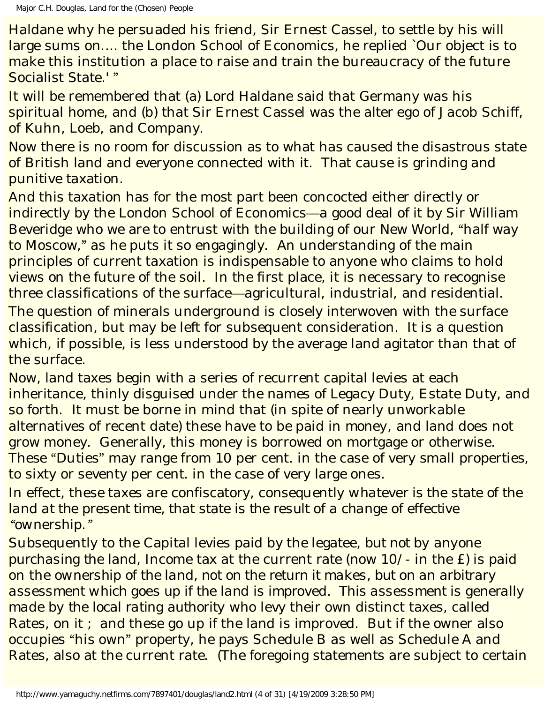Haldane why he persuaded his friend, Sir Ernest Cassel, to settle by his will large sums on.... the London School of Economics, he replied `Our object is to make this institution a place to raise and train the bureaucracy of the future Socialist State.' "

It will be remembered that (a) Lord Haldane said that Germany was his spiritual home, and (b) that Sir Ernest Cassel was the *alter ego* of Jacob Schiff, of Kuhn, Loeb, and Company.

Now there is no room for discussion as to what has caused the disastrous state of British land and everyone connected with it. That cause is grinding and punitive taxation.

And this taxation has for the most part been concocted either directly or indirectly by the London School of Economics—a good deal of it by Sir William Beveridge who we are to entrust with the building of our New World, "half way to Moscow," as he puts it so engagingly. An understanding of the main principles of current taxation is indispensable to anyone who claims to hold views on the future of the soil. In the first place, it is necessary to recognise three classifications of the surface—agricultural, industrial, and residential.

The question of minerals underground is closely interwoven with the surface classification, but may be left for subsequent consideration. It is a question which, if possible, is less understood by the average land agitator than that of the surface.

Now, land taxes begin with a series of recurrent capital levies at each inheritance, thinly disguised under the names of Legacy Duty, Estate Duty, and so forth. It must be borne in mind that (in spite of nearly unworkable alternatives of recent date) these have to be paid in *money*, and land does not grow money. Generally, this money is borrowed on mortgage or otherwise. These "Duties" may range from 10 per cent. in the case of very small properties, to sixty or seventy per cent. in the case of very large ones.

In effect, these taxes are confiscatory, consequently *whatever is the state of the land at the present time, that state is the result of a change of effective "ownership."*

Subsequently to the Capital levies paid by the legatee, *but not by anyone purchasing the land*, Income tax at the current rate (now 10/- in the £) is paid on the *ownership of the land, not on the return it makes, but on an arbitrary assessment which goes up if the land is improved. This assessment is generally made by the local rating authority* who levy their own distinct taxes, called Rates, on it ; and these go up if the land is improved. But if the owner also occupies "his own" property, he pays Schedule B as well as Schedule A and Rates, also at the current rate. (The foregoing statements are subject to certain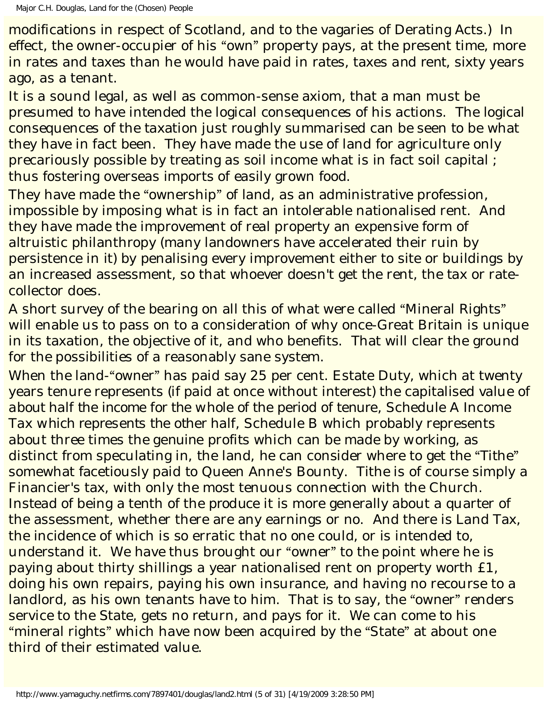modifications in respect of Scotland, and to the vagaries of Derating Acts.) In effect, the owner-occupier of his "own" property pays, at the present time, more in rates and taxes than he would have paid in rates, taxes *and rent*, sixty years ago, as a tenant.

It is a sound legal, as well as common-sense axiom, that a man must be presumed to have intended the logical consequences of his actions. The logical consequences of the taxation just roughly summarised can be seen to be what they have in fact been. They have made the use of land for agriculture only precariously possible by treating as soil income what is in fact soil capital ; thus fostering overseas imports of easily grown food.

They have made the "ownership" of land, as an administrative profession, impossible by imposing what is in fact an intolerable nationalised rent. And they have made the improvement of real property an expensive form of altruistic philanthropy (many landowners have accelerated their ruin by persistence in it) by penalising every improvement either to site or buildings by an increased assessment, so that whoever doesn't get the rent, the tax or ratecollector does.

A short survey of the bearing on all this of what were called "Mineral Rights" will enable us to pass on to a consideration of why once-Great Britain is unique in its taxation, the objective of it, and who benefits. That will clear the ground for the possibilities of a reasonably sane system.

When the land-"owner" has paid say 25 per cent. Estate Duty, which at twenty years tenure represents (if paid at once without interest) the capitalised value of *about half the income for the whole of the period of tenure*, Schedule A Income Tax *which represents the other half*, Schedule B which probably represents about three times the *genuine* profits which can be made by *working*, as distinct from speculating in, the land, he can consider where to get the "Tithe" somewhat facetiously paid to Queen Anne's Bounty. Tithe is of course simply a Financier's tax, with only the most tenuous connection with the Church. Instead of being a tenth of the *produce* it is more generally about a quarter of the assessment, whether there are any earnings or no. And there is Land Tax, the incidence of which is so erratic that no one could, or is intended to, understand it. We have thus brought our "owner" to the point where he is paying about thirty shillings a year nationalised rent on property worth £1, doing his own repairs, paying his own insurance, and having no recourse to a landlord, as his own tenants have to him. That is to say, the "owner" renders service to the State, gets no return, and pays for it. We can come to his "mineral rights" which have now been acquired by the "State" at about one third of their estimated value.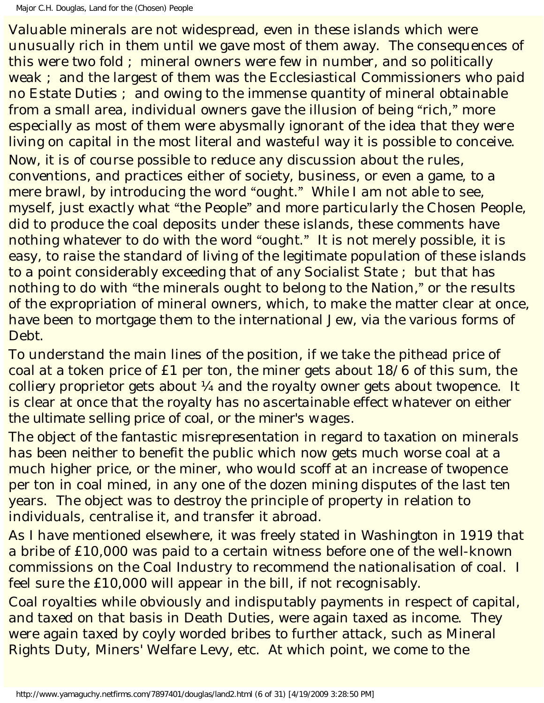Valuable minerals are not widespread, even in these islands which were unusually rich in them until we gave most of them away. The consequences of this were two fold ; mineral owners were few in number, and so politically weak ; and the largest of them was the Ecclesiastical Commissioners who paid no Estate Duties ; and owing to the immense quantity of mineral obtainable from a small area, individual owners gave the illusion of being "rich," more especially as most of them were abysmally ignorant of the idea that they were living on capital in the most literal and wasteful way it is possible to conceive. Now, it is of course possible to reduce any discussion about the rules, conventions, and practices either of society, business, or even a game, to a mere brawl, by introducing the word "ought." While I am not able to see, myself, just exactly what "the People" and more particularly the Chosen People, did to produce the coal deposits under these islands, these comments have nothing whatever to do with the word "ought." It is not merely possible, it is easy, to raise the standard of living of the legitimate population of these islands to a point considerably exceeding that of any Socialist State ; but that has nothing to do with "the minerals ought to belong to the Nation," or the results of the expropriation of mineral owners, which, to make the matter clear at once, have been to mortgage them to the international Jew, via the various forms of Debt.

To understand the main lines of the position, if we take the pithead price of coal at a token price of £1 per ton, the miner gets about 18/6 of this sum, the colliery proprietor gets about ¼ and the royalty owner gets about twopence. It is clear at once that the royalty *has no ascertainable effect whatever on either the ultimate selling price of coal, or the miner's wages*.

The object of the fantastic misrepresentation in regard to taxation on minerals has been neither to benefit the public which now gets much worse coal at a much higher price, or the miner, who would scoff at an increase of twopence per ton in coal mined, in any one of the dozen mining disputes of the last ten years. The object was to destroy the principle of property in relation to individuals, centralise it, and transfer it abroad.

As I have mentioned elsewhere, it was freely stated in Washington in 1919 that a bribe of £10,000 was paid to a certain witness before one of the well-known commissions on the Coal Industry to recommend the nationalisation of coal. I feel sure the £10,000 will appear in the bill, if not recognisably.

Coal royalties while obviously and indisputably payments in respect of capital, and taxed on that basis in Death Duties, were again taxed as income. They were again taxed by coyly worded bribes to further attack, such as Mineral Rights Duty, Miners' Welfare Levy, *etc*. At which point, we come to the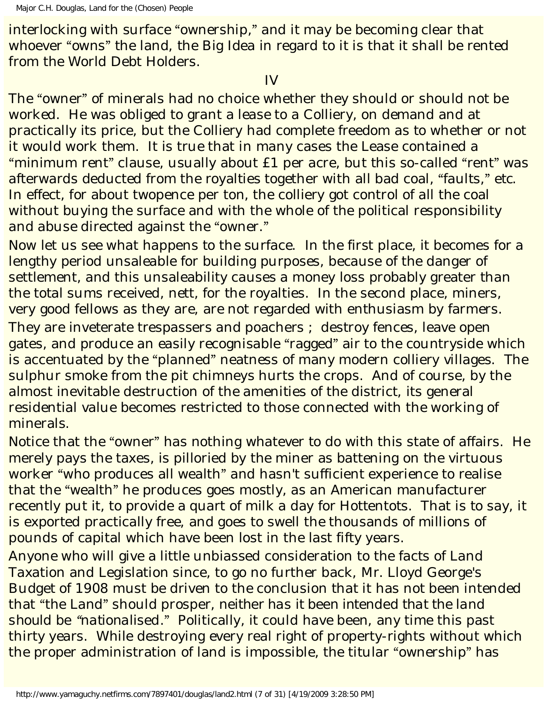interlocking with surface "ownership," and it may be becoming clear that whoever "owns" the land, the Big Idea in regard to it is that it shall be rented from the World Debt Holders.

#### IV

The "owner" of minerals had no choice whether they should or should not be worked. He was obliged to grant a lease to a Colliery, on demand and at practically its price, but the Colliery had complete freedom as to whether or not it would work them. It is true that in many cases the Lease contained a "minimum rent" clause, usually about £1 per acre, but this so-called "rent" was afterwards deducted from the royalties together with all bad coal, "faults," *etc*. In effect, for about twopence per ton, the colliery got control of all the coal without buying the surface and with the whole of the political responsibility and abuse directed against the "owner."

Now let us see what happens to the surface. In the first place, it becomes for a lengthy period unsaleable for building purposes, because of the danger of settlement, and this unsaleability causes a money loss probably greater than the total sums received, nett, for the royalties. In the second place, miners, very good fellows as they are, are not regarded with enthusiasm by farmers. They are inveterate trespassers and poachers ; destroy fences, leave open gates, and produce an easily recognisable "ragged" air to the countryside which is accentuated by the "planned" neatness of many modern colliery villages. The sulphur smoke from the pit chimneys hurts the crops. And of course, by the almost inevitable destruction of the amenities of the district, its general residential value becomes restricted to those connected with the working of minerals.

Notice that the "owner" has nothing whatever to do with this state of affairs. He merely pays the taxes, is pilloried by the miner as battening on the virtuous worker "who produces all wealth" and hasn't sufficient experience to realise that the "wealth" he produces goes mostly, as an American manufacturer recently put it, to provide a quart of milk a day for Hottentots. That is to say, it is exported practically free, and goes to swell the thousands of millions of pounds of capital which have been lost in the last fifty years.

Anyone who will give a little unbiassed consideration to the facts of Land Taxation and Legislation since, to go no further back, Mr. Lloyd George's Budget of 1908 must be driven to the conclusion that it has not been intended that "the Land" should prosper, *neither has it been intended that the land should be "nationalised*." Politically, it could have been, any time this past thirty years. While destroying every real right of property-rights without which the proper administration of land is impossible, the titular "ownership" has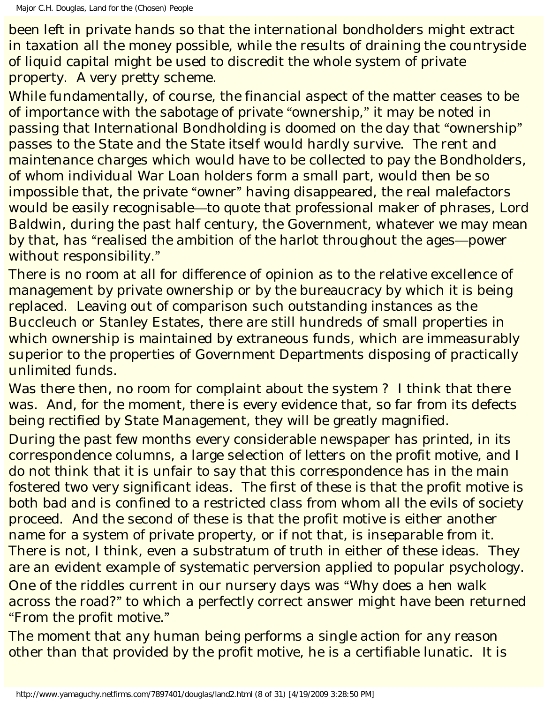been left in private hands so that the international bondholders might extract in taxation all the money possible, while the results of draining the countryside of liquid capital might be used to discredit the whole system of private property. A very pretty scheme.

While fundamentally, of course, the financial aspect of the matter ceases to be of importance with the sabotage of private "ownership," it may be noted in passing that International Bondholding is doomed on the day that "ownership" passes to the State and the State itself would hardly survive. The rent and maintenance charges which would have to be collected to pay the Bondholders, of whom individual War Loan holders form a small part, would then be so impossible that, the private "owner" having disappeared, the real malefactors would be easily recognisable—to quote that professional maker of phrases, Lord Baldwin, during the past half century, the Government, whatever we may mean by that, has "realised the ambition of the harlot throughout the ages—power without responsibility."

There is no room at all for difference of opinion as to the relative excellence of management by private ownership or by the bureaucracy by which it is being replaced. Leaving out of comparison such outstanding instances as the Buccleuch or Stanley Estates, there are still hundreds of small properties in which ownership is maintained by extraneous funds, which are immeasurably superior to the properties of Government Departments disposing of practically unlimited funds.

Was there then, no room for complaint about the system? I think that there was. And, for the moment, there is every evidence that, so far from its defects being rectified by State Management, they will be greatly magnified.

During the past few months every considerable newspaper has printed, in its correspondence columns, a large selection of letters on the profit motive, and I do not think that it is unfair to say that this correspondence has in the main fostered two very significant ideas. The first of these is that the profit motive is both bad and is confined to a restricted class from whom all the evils of society proceed. And the second of these is that the profit motive is either another name for a system of private property, or if not that, is inseparable from it. There is not, I think, even a substratum of truth in either of these ideas. They are an evident example of systematic perversion applied to popular psychology. One of the riddles current in our nursery days was "Why does a hen walk across the road?" to which a perfectly correct answer might have been returned "From the profit motive."

The moment that any human being performs a single action for any reason other than that provided by the profit motive, he is a certifiable lunatic. It is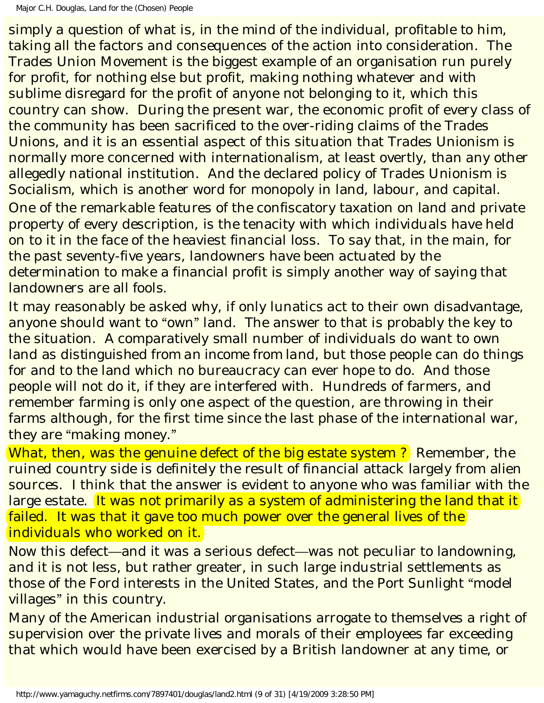simply a question of what is, in the mind of the individual, profitable to him, taking all the factors and consequences of the action into consideration. The Trades Union Movement is the biggest example of an organisation run purely for profit, for nothing else but profit, making nothing whatever and with sublime disregard for the profit of anyone not belonging to it, which this country can show. During the present war, the economic profit of every class of the community has been sacrificed to the over-riding claims of the Trades Unions, and it is an essential aspect of this situation that Trades Unionism is normally more concerned with internationalism, at least overtly, than any other allegedly national institution. And the declared policy of Trades Unionism is Socialism, which is another word for monopoly in land, labour, and capital. One of the remarkable features of the confiscatory taxation on land and private property of every description, is the tenacity with which individuals have held on to it in the face of the heaviest financial loss. To say that, in the main, for the past seventy-five years, landowners have been actuated by the determination to make a *financial* profit is simply another way of saying that landowners are all fools.

It may reasonably be asked why, if only lunatics act to their own disadvantage, anyone should want to "own" land. The answer to that is probably the key to the situation. A comparatively small number of individuals do want to own land as *distinguished from an income from land*, but those people can do things for and to the land which no bureaucracy can ever hope to do. And those people will not do it, if they are interfered with. Hundreds of farmers, and remember farming is only one aspect of the question, are throwing in their farms although, for the first time since the last phase of the international war, they are "making money."

What, then, was the genuine defect of the big estate system? Remember, the ruined country side is definitely the result of financial attack largely from alien sources. I think that the answer is evident to anyone who was familiar with the large estate. It was not primarily as a system of administering the land that it failed. It was that it gave too much power over the general lives of the individuals who worked on it.

Now this defect—and it was a serious defect—was not peculiar to landowning, and it is not less, but rather greater, in such large industrial settlements as those of the Ford interests in the United States, and the Port Sunlight "model villages" in this country.

Many of the American industrial organisations arrogate to themselves a right of supervision over the private lives and morals of their employees far exceeding that which would have been exercised by a British landowner at any time, or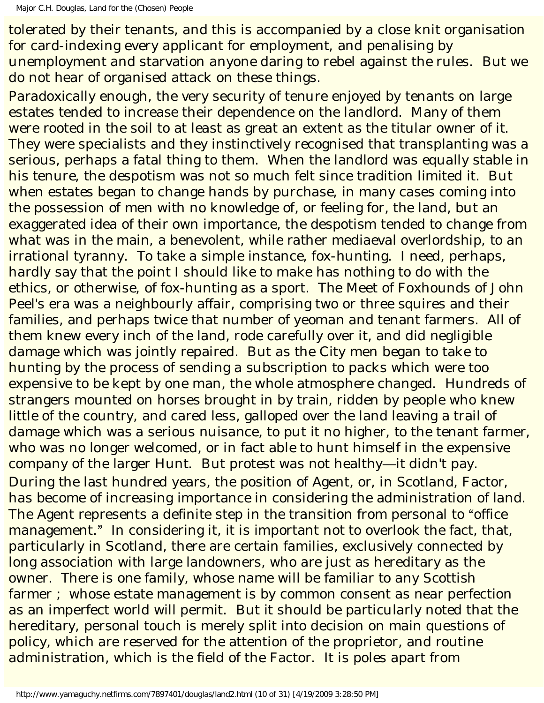tolerated by their tenants, and this is accompanied by a close knit organisation for card-indexing every applicant for employment, and penalising by unemployment and starvation anyone daring to rebel against the rules. But we do not hear of organised attack on these things.

Paradoxically enough, the very security of tenure enjoyed by tenants on large estates tended to increase their dependence on the landlord. Many of them were rooted in the soil to at least as great an extent as the titular owner of it. They were specialists and they instinctively recognised that transplanting was a serious, perhaps a fatal thing to them. When the landlord was equally stable in his tenure, the despotism was not so much felt since tradition limited it. But when estates began to change hands by purchase, in many cases coming into the possession of men with no knowledge of, or feeling for, the land, but an exaggerated idea of their own importance, the despotism tended to change from what was in the main, a benevolent, while rather mediaeval overlordship, to an irrational tyranny. To take a simple instance, fox-hunting. I need, perhaps, hardly say that the point I should like to make has nothing to do with the ethics, or otherwise, of fox-hunting as a sport. The Meet of Foxhounds of John Peel's era was a neighbourly affair, comprising two or three squires and their families, and perhaps twice that number of yeoman and tenant farmers. All of them knew every inch of the land, rode carefully over it, and did negligible damage which was jointly repaired. But as the City men began to take to hunting by the process of sending a subscription to packs which were too expensive to be kept by one man, the whole atmosphere changed. Hundreds of strangers mounted on horses brought in by train, ridden by people who knew little of the country, and cared less, galloped over the land leaving a trail of damage which was a serious nuisance, to put it no higher, to the tenant farmer, who was no longer welcomed, or in fact able to hunt himself in the expensive company of the larger Hunt. But protest was not healthy—it didn't pay. During the last hundred years, the position of Agent, or, in Scotland, Factor, has become of increasing importance in considering the administration of land. The Agent represents a definite step in the transition from personal to "office management." In considering it, it is important not to overlook the fact, that, particularly in Scotland, there are certain families, exclusively connected by long association with large landowners, who are just as hereditary as the owner. There is one family, whose name will be familiar to any Scottish farmer ; whose estate management is by common consent as near perfection as an imperfect world will permit. But it should be particularly noted that the hereditary, personal touch is merely split into decision on main questions of policy, which are reserved for the attention of the proprietor, and routine administration, which is the field of the Factor. It is poles apart from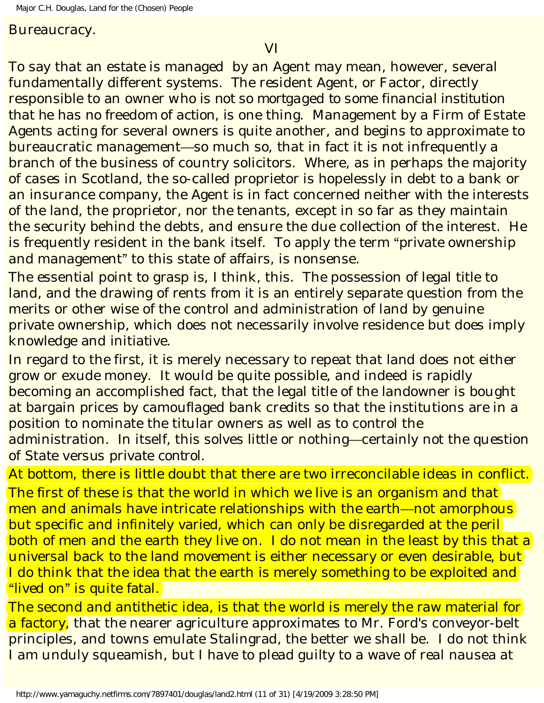Bureaucracy.

To say that an estate is managed by an Agent may mean, however, several fundamentally different systems. The resident Agent, or Factor, directly responsible to an owner *who is not so mortgaged to some financial institution that he has no freedom of action*, is one thing. Management by a Firm of Estate Agents acting for several owners is quite another, and begins to approximate to bureaucratic management—so much so, that in fact it is not infrequently a branch of the business of country solicitors. Where, as in perhaps the majority of cases in Scotland, the so-called proprietor is hopelessly in debt to a bank or an insurance company, the Agent is in fact concerned neither with the interests of the land, the proprietor, nor the tenants, except in so far as they maintain the security behind the debts, and ensure the due collection of the interest. He is frequently resident in the bank itself. To apply the term "private ownership and management" to this state of affairs, is nonsense.

The essential point to grasp is, I think, this. The possession of legal title to land, and the drawing of rents from it is an entirely separate question from the merits or other wise of the control and administration of land by genuine private ownership, which does not necessarily involve residence but does imply knowledge and initiative.

In regard to the first, it is merely necessary to repeat that land does not either grow or exude money. It would be quite possible, and indeed is rapidly becoming an accomplished fact, that the legal title of the landowner is bought at bargain prices by camouflaged bank credits so that the institutions are in a position to nominate the titular owners as well as to control the administration. In itself, this solves little or nothing—certainly not the question of State *versus* private *control*.

At bottom, there is little doubt that there are two irreconcilable ideas in conflict. The first of these is that the world in which we live is an organism and that men and animals have intricate relationships with the earth—not amorphous but specific and infinitely varied, which can only be disregarded at the peril both of men and the earth they live on. I do not mean in the least by this that a universal back to the land movement is either necessary or even desirable, but I do think that the idea that the earth is merely something to be exploited and "lived on" is quite fatal.

The second and antithetic idea, is that the world is merely the raw material for a factory, that the nearer agriculture approximates to Mr. Ford's conveyor-belt principles, and towns emulate Stalingrad, the better we shall be. I do not think I am unduly squeamish, but I have to plead guilty to a wave of real nausea at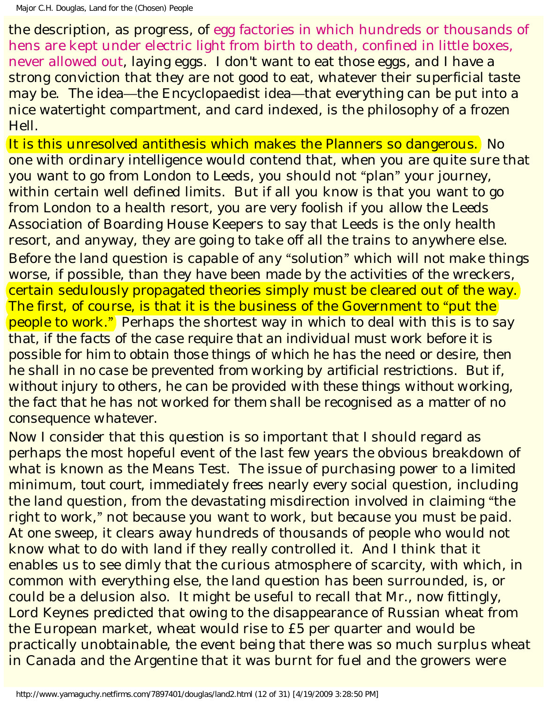the description, as progress, of egg factories in which hundreds or thousands of hens are kept under electric light from birth to death, confined in little boxes, never allowed out, laying eggs. I don't want to eat those eggs, and I have a strong conviction that they are not good to eat, whatever their superficial taste may be. The idea—the Encyclopaedist idea—that everything can be put into a nice watertight compartment, and card indexed, is the philosophy of a frozen Hell.

It is this unresolved antithesis which makes the Planners so dangerous. No one with ordinary intelligence would contend that, when you are quite sure that you want to go from London to Leeds, you should not "plan" your journey, within certain well defined limits. But if all you know is that you want to go from London to a health resort, you are very foolish if you allow the Leeds Association of Boarding House Keepers to say that Leeds is the only health resort, and anyway, they are going to take off all the trains to anywhere else. Before the land question is capable of any "solution" which will not make things worse, if possible, than they have been made by the activities of the wreckers, certain sedulously propagated theories simply must be cleared out of the way. The first, of course, is that it is the business of the Government to "put the people to work." Perhaps the shortest way in which to deal with this is to say that, *if the facts of the case require that an individual must work before it is possible for him to obtain those things of which he has the need or desire, then he shall in no case be prevented from working by artificial restrictions. But if, without injury to others, he can be provided with these things without working, the fact that he has not worked for them shall be recognised as a matter of no consequence whatever*.

Now I consider that this question is so important that I should regard as perhaps the most hopeful event of the last few years the obvious breakdown of what is known as the Means Test. The issue of purchasing power to a limited minimum, *tout court*, immediately frees nearly every social question, including the land question, from the devastating misdirection involved in claiming "the right to work," not because you want to work, but because you must be paid. At one sweep, it clears away hundreds of thousands of people who would not know what to do with land if they really controlled it. And I think that it enables us to see dimly that the curious atmosphere of scarcity, with which, in common with everything else, the land question has been surrounded, is, or could be a delusion also. It might be useful to recall that Mr., now fittingly, Lord Keynes predicted that owing to the disappearance of Russian wheat from the European market, wheat would rise to £5 per quarter and would be practically unobtainable, the event being that there was so much surplus wheat in Canada and the Argentine that it was burnt for fuel and the growers were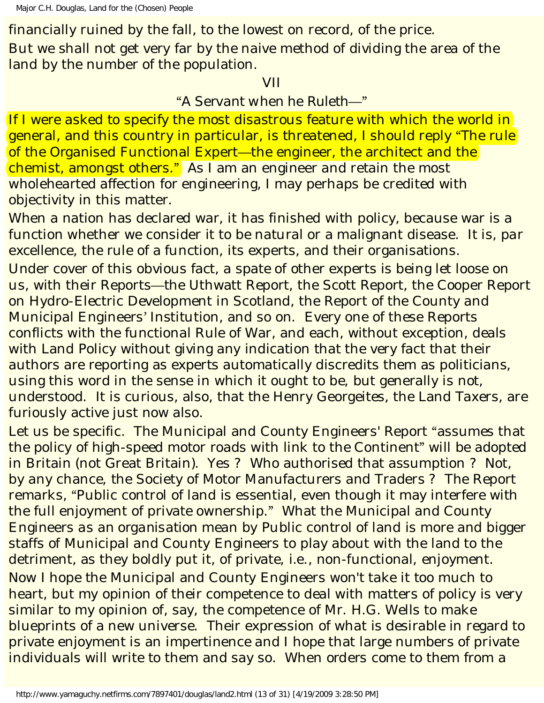financially ruined by the fall, to the lowest on record, of the price. But we shall not get very far by the naive method of dividing the area of the land by the number of the population.

#### VII

## "*A Servant when he Ruleth*—"

If I were asked to specify the most disastrous feature with which the world in general, and this country in particular, is threatened, I should reply "The rule of the *Organised* Functional Expert—the engineer, the architect and the chemist, amongst others." As I am an engineer and retain the most wholehearted affection for engineering, I may perhaps be credited with objectivity in this matter.

When a nation has declared war, it has finished with policy, because war is a function whether we consider it to be natural or a malignant disease. It is, *par excellence*, the rule of a function, its experts, and their organisations. Under cover of this obvious fact, a spate of other experts is being let loose on us, with their Reports—the Uthwatt Report, the Scott Report, the Cooper Report on Hydro-Electric Development in Scotland, the Report of the County and Municipal Engineers' Institution, and so on. Every one of these Reports conflicts with the functional Rule of War, and each, without exception, deals with Land Policy without giving any indication that the very fact that their authors are reporting as experts automatically discredits them as politicians, using this word in the sense in which it ought to be, but generally is not, understood. It is curious, also, that the Henry Georgeites, the Land Taxers, are furiously active just now also.

Let us be specific. The Municipal and County Engineers' Report "assumes that the policy of high-speed motor roads with link to the Continent" will be adopted in Britain (not Great Britain). Yes ? Who authorised that assumption ? Not, by any chance, the Society of Motor Manufacturers and Traders ? The Report remarks, "Public control of land is essential, even though it may interfere with the full enjoyment of private ownership." What the Municipal and County Engineers *as an organisation* mean by Public control of land is more and bigger staffs of Municipal and County Engineers to play about with the land to the detriment, as they boldly put it, of private, *i.e*., non-functional, enjoyment. Now I hope the Municipal and County Engineers won't take it too much to heart, but my opinion of their competence to deal with matters of policy is very similar to my opinion of, say, the competence of Mr. H.G. Wells to make blueprints of a new universe. Their expression of what is desirable in regard to private enjoyment is an impertinence and I hope that large numbers of private individuals will write to them and say so. When *orders* come to them from a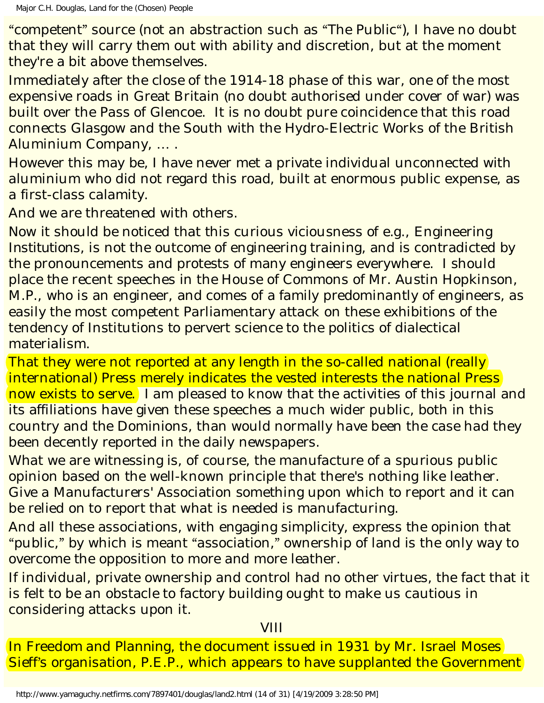"competent" source (not an abstraction such as "The Public"), I have no doubt that they will carry them out with ability and discretion, but at the moment they're a bit above themselves.

Immediately after the close of the 1914-18 phase of this war, one of the most expensive roads in Great Britain (no doubt authorised under cover of war) was built over the Pass of Glencoe. It is no doubt pure coincidence that this road connects Glasgow and the South with the Hydro-Electric Works of the British Aluminium Company, … .

However this may be, I have never met a private individual unconnected with aluminium who did not regard this road, built at enormous public expense, as a first-class calamity.

And we are threatened with others.

Now it should be noticed that this curious viciousness of *e.g*., Engineering *Institutions*, is not the outcome of engineering training, and is contradicted by the pronouncements and protests of many engineers everywhere. I should place the recent speeches in the House of Commons of Mr. Austin Hopkinson, M.P., who is an engineer, and comes of a family predominantly of engineers, as easily the most competent Parliamentary attack on these exhibitions of the tendency of Institutions to pervert science to the politics of dialectical materialism.

That they were not reported at any length in the so-called national (really international) Press merely indicates the vested interests the national Press now exists to serve. I am pleased to know that the activities of this journal and its affiliations have given these speeches a much wider public, both in this country and the Dominions, than would normally have been the case had they been decently reported in the daily newspapers.

What we are witnessing is, of course, the manufacture of a spurious public opinion based on the well-known principle that there's nothing like leather. Give a Manufacturers' Association something upon which to report and it can be relied on to report that what is needed is manufacturing.

And all these associations, with engaging simplicity, express the opinion that "public," by which is meant "association," ownership of land is the only way to overcome the opposition to more and more leather.

If individual, private ownership and control had no other virtues, the fact that it is felt to be an obstacle to factory building ought to make us cautious in considering attacks upon it.

**VIII** 

In *Freedom and Planning*, the document issued in 1931 by Mr. Israel Moses Sieff's organisation, P.E.P., which appears to have supplanted the Government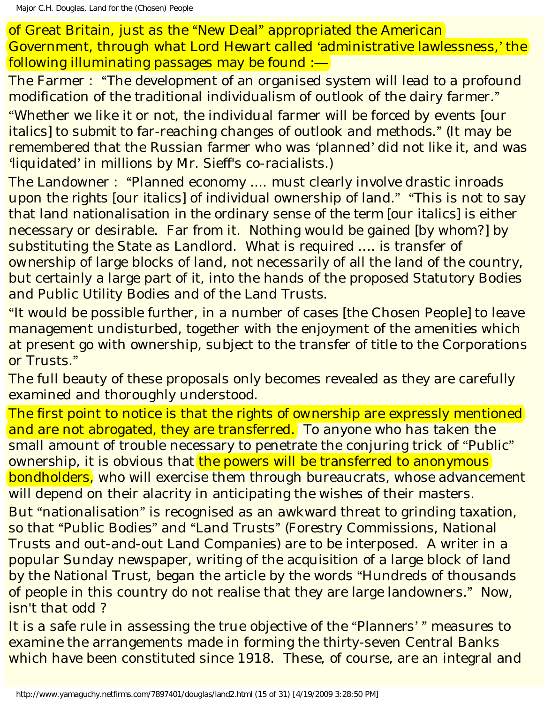of Great Britain, just as the "New Deal" appropriated the American Government, through what Lord Hewart called 'administrative lawlessness,' the following illuminating passages may be found :—

The Farmer : "The development of an organised system will lead to a profound modification of the traditional individualism of outlook of the dairy farmer." "Whether we like it or not, the individual farmer will be *forced by events* [our italics] to *submit* to far-reaching changes of outlook and methods." (It may be remembered that the Russian farmer who was 'planned' did not like it, and was 'liquidated' in millions by Mr. Sieff's co-racialists.)

The Landowner : "Planned economy .... must clearly involve drastic inroads upon the *rights* [our italics] of *individual* ownership of land." "This is not to say that land nationalisation *in the ordinary sense of the term* [our italics] is either necessary or desirable. Far from it. Nothing would be gained [by whom?] by substituting the State as Landlord. What is required .... is transfer of *ownership* of large blocks of land, not necessarily of all the land of the country, but certainly a large part of it, into the hands of the proposed Statutory Bodies and Public Utility Bodies and of the Land Trusts.

"It would be possible further, in a number of cases [the Chosen People] to leave management undisturbed, together with the enjoyment of the amenities which at present go with ownership, subject to the transfer of title to the Corporations or Trusts."

The full beauty of these proposals only becomes revealed as they are carefully examined and thoroughly understood.

The first point to notice is that the *rights of ownership* are expressly mentioned and are not abrogated, they are transferred. To anyone who has taken the small amount of trouble necessary to penetrate the conjuring trick of "Public" ownership, it is obvious that the powers will be transferred to anonymous bondholders, who will exercise them through bureaucrats, whose advancement will depend on their alacrity in anticipating the wishes of their masters.

But "nationalisation" is recognised as an awkward threat to grinding taxation, so that "Public Bodies" and "Land Trusts" (Forestry Commissions, National Trusts and out-and-out Land Companies) are to be interposed. A writer in a popular Sunday newspaper, writing of the acquisition of a large block of land by the National Trust, began the article by the words "Hundreds of thousands of people in this country do not realise that they are large landowners." Now, isn't that odd ?

It is a safe rule in assessing the true objective of the "Planners' " measures to examine the arrangements made in forming the thirty-seven Central Banks which have been constituted since 1918. These, of course, are an integral and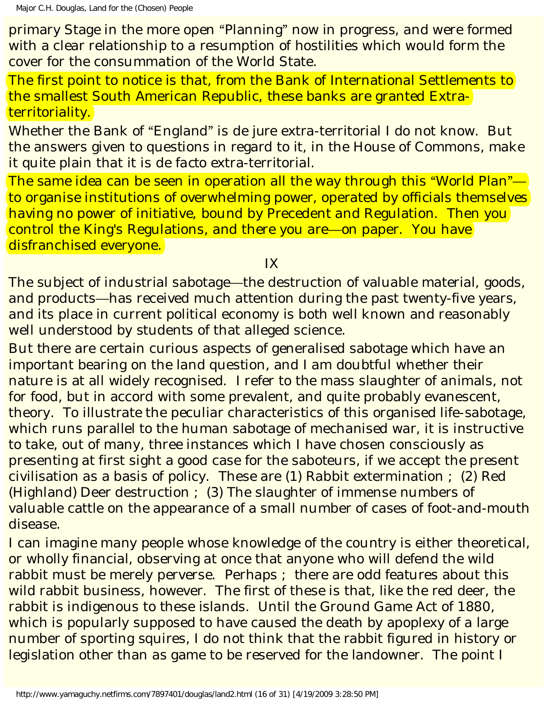primary Stage in the more open "Planning" now in progress, and were formed with a clear relationship to a resumption of hostilities which would form the cover for the consummation of the World State.

The first point to notice is that, from the Bank of International Settlements to the smallest South American Republic, these banks are granted Extraterritoriality.

Whether the Bank of "England" is *de jure* extra-territorial I do not know. But the answers given to questions in regard to it, in the House of Commons, make it quite plain that it is *de facto* extra-territorial.

The same idea can be seen in operation all the way through this "World Plan" to organise institutions of overwhelming power, operated by officials themselves having no power of initiative, bound by Precedent and Regulation. Then you control the King's Regulations, and there you are—on paper. You have disfranchised everyone.

IX

The subject of industrial sabotage—the destruction of valuable material, goods, and products—has received much attention during the past twenty-five years, and its place in current political economy is both well known and reasonably well understood by students of that alleged science.

But there are certain curious aspects of generalised sabotage which have an important bearing on the land question, and I am doubtful whether their nature is at all widely recognised. I refer to the mass slaughter of animals, not for food, but in accord with some prevalent, and quite probably evanescent, theory. To illustrate the peculiar characteristics of this organised life-sabotage, which runs parallel to the human sabotage of mechanised war, it is instructive to take, out of many, three instances which I have chosen consciously as presenting at first sight a good case for the saboteurs, if we accept the present civilisation as a basis of policy. These are (1) Rabbit extermination ; (2) Red (Highland) Deer destruction ; (3) The slaughter of immense numbers of valuable cattle on the appearance of a small number of cases of foot-and-mouth disease.

I can imagine many people whose knowledge of the country is either theoretical, or wholly financial, observing at once that anyone who will defend the wild rabbit must be merely perverse. Perhaps ; there are odd features about this wild rabbit business, however. The first of these is that, like the red deer, the rabbit is indigenous to these islands. Until the Ground Game Act of 1880, which is popularly supposed to have caused the death by apoplexy of a large number of sporting squires, I do not think that the rabbit figured in history or legislation other than as game to be reserved for the landowner. The point I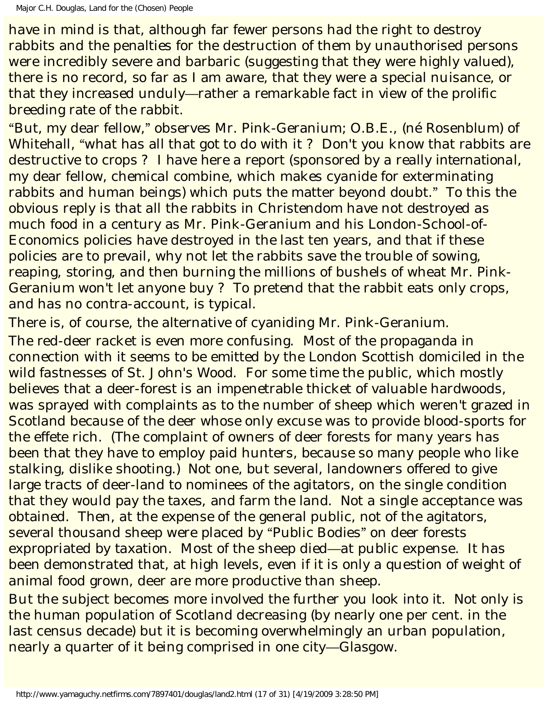have in mind is that, although far fewer persons had the right to destroy rabbits and the penalties for the destruction of them by unauthorised persons were incredibly severe and barbaric (suggesting that they were highly valued), there is no record, so far as I am aware, that they were a special nuisance, or that they increased unduly—rather a remarkable fact in view of the prolific breeding rate of the rabbit.

"But, my dear fellow," observes Mr. Pink-Geranium; O.B.E., (né Rosenblum) of Whitehall, "what has all that got to do with it? Don't you know that rabbits are destructive to crops ? I have here a report (sponsored by a really *international*, my dear fellow, chemical combine, which makes cyanide for exterminating rabbits and human beings) which puts the matter beyond doubt." To this the obvious reply is that all the rabbits in Christendom have not destroyed as much food in a century as Mr. Pink-Geranium and his London-School-of-Economics policies have destroyed in the last ten years, and that if these policies are to prevail, why not let the rabbits save the trouble of sowing, reaping, storing, and then burning the millions of bushels of wheat Mr. Pink-Geranium won't let anyone buy ? To pretend that the rabbit eats only crops, and has no contra-account, is typical.

There is, of course, the alternative of cyaniding Mr. Pink-Geranium.

The red-deer racket is even more confusing. Most of the propaganda in connection with it seems to be emitted by the London Scottish domiciled in the wild fastnesses of St. John's Wood. For some time the public, which mostly believes that a deer-forest is an impenetrable thicket of valuable hardwoods, was sprayed with complaints as to the number of sheep which weren't grazed in Scotland because of the deer whose only excuse was to provide blood-sports for the effete rich. (The complaint of owners of deer forests for many years has been that they have to employ paid hunters, because so many people who like stalking, dislike shooting.) Not one, but several, landowners offered to give large tracts of deer-land to nominees of the agitators, on the single condition that they would pay the taxes, and farm the land. Not a single acceptance was obtained. Then, at the expense of the general public, not of the agitators, several thousand sheep were placed by "Public Bodies" on deer forests expropriated by taxation. Most of the sheep died—at public expense. It has been demonstrated that, at high levels, even if it is only a question of weight of animal food grown, deer are more productive than sheep.

But the subject becomes more involved the further you look into it. Not only is the human population of Scotland decreasing (by nearly one per cent. in the last census decade) but it is becoming overwhelmingly an urban population, nearly a quarter of it being comprised in one city—Glasgow.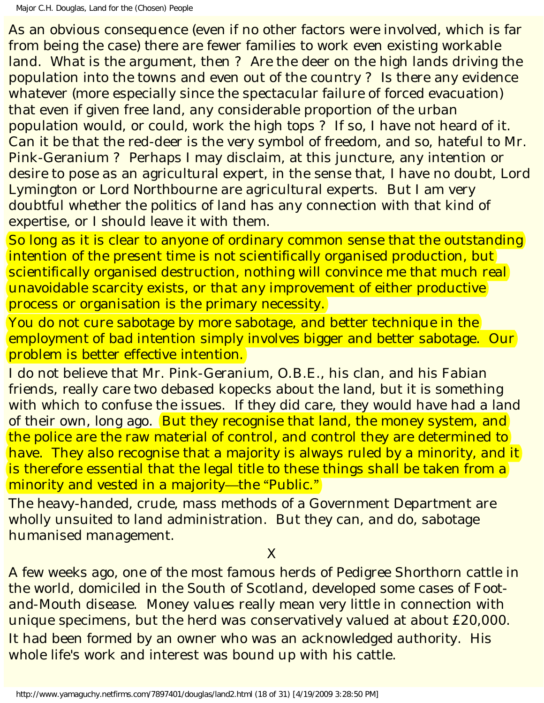As an obvious consequence (even if no other factors were involved, which is far from being the case) there are fewer families to work even existing workable land. What is the argument, then ? Are the deer on the high lands driving the population into the towns and even out of the country ? Is there any evidence whatever (more especially since the spectacular failure of forced evacuation) that even if given free land, any considerable proportion of the urban population would, or could, work the high tops ? If so, I have not heard of it. Can it be that the red-deer is the very symbol of freedom, and so, hateful to Mr. Pink-Geranium ? Perhaps I may disclaim, at this juncture, any intention or desire to pose as an agricultural expert, in the sense that, I have no doubt, Lord Lymington or Lord Northbourne are agricultural experts. But I am very doubtful whether the politics of land has any connection with that kind of *expertise*, or I should leave it with them.

So long as it is clear to anyone of ordinary common sense that the outstanding intention of the present time is not scientifically organised production, but scientifically organised destruction, nothing will convince me that much real unavoidable scarcity exists, or that any improvement of either productive process or organisation is the primary necessity.

You do not cure sabotage by more sabotage, and better technique in the employment of bad intention simply involves bigger and better sabotage. Our problem is better *effective* intention.

I do not believe that Mr. Pink-Geranium, O.B.E., his clan, and his Fabian friends, really care two debased kopecks about the land, but it is something with which to confuse the issues. If they did care, they would have had a land of their own, long ago. But they recognise that land, the money system, and the police are the raw material of control, and control they are determined to have. They also recognise that a majority is always ruled by a minority, and it is therefore essential that the legal title to these things shall be taken from a minority and vested in a majority—the "Public."

The heavy-handed, crude, mass methods of a Government Department are wholly unsuited to land administration. But they can, and do, sabotage humanised management.

X

A few weeks ago, one of the most famous herds of Pedigree Shorthorn cattle in the world, domiciled in the South of Scotland, developed some cases of Footand-Mouth disease. Money values really mean very little in connection with unique specimens, but the herd was conservatively valued at about £20,000. It had been formed by an owner who was an acknowledged authority. His whole life's work and interest was bound up with his cattle.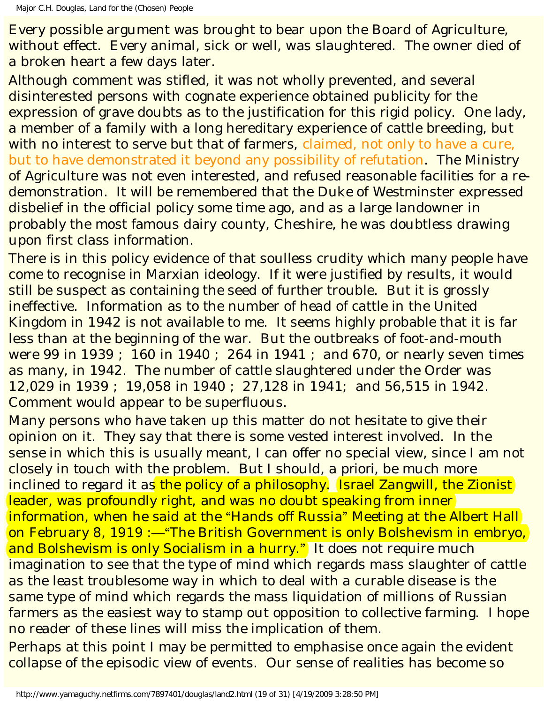Every possible argument was brought to bear upon the Board of Agriculture, without effect. Every animal, sick or well, was slaughtered. The owner died of a broken heart a few days later.

Although comment was stifled, it was not wholly prevented, and several disinterested persons with cognate experience obtained publicity for the expression of grave doubts as to the justification for this rigid policy. One lady, a member of a family with a long hereditary experience of cattle breeding, but with no interest to serve but that of farmers, claimed, not only to have a cure, but to have demonstrated it beyond any possibility of refutation. The Ministry of Agriculture was not even interested, and refused reasonable facilities for a redemonstration. It will be remembered that the Duke of Westminster expressed disbelief in the official policy some time ago, and as a large landowner in probably the most famous dairy county, Cheshire, he was doubtless drawing upon first class information.

There is in this policy evidence of that soulless crudity which many people have come to recognise in Marxian ideology. If it were justified by results, it would still be suspect as containing the seed of further trouble. But it is grossly ineffective. Information as to the number of head of cattle in the United Kingdom in 1942 is not available to me. It seems highly probable that it is far less than at the beginning of the war. But the outbreaks of foot-and-mouth were 99 in 1939 ; 160 in 1940 ; 264 in 1941 ; and 670, or nearly seven times as many, in 1942. The number of cattle slaughtered under the Order was 12,029 in 1939 ; 19,058 in 1940 ; 27,128 in 1941; and 56,515 in 1942. Comment would appear to be superfluous.

Many persons who have taken up this matter do not hesitate to give their opinion on it. They say that there is some vested interest involved. In the sense in which this is usually meant, I can offer no special view, since I am not closely in touch with the problem. But I should, *a priori*, be much more inclined to regard it as the policy of a philosophy. Israel Zangwill, the Zionist leader, was profoundly right, and was no doubt speaking from inner information, when he said at the "Hands off Russia" Meeting at the Albert Hall on February 8, 1919 :—"The British Government is only Bolshevism in embryo, and Bolshevism is only Socialism in a hurry." It does not require much imagination to see that the type of mind which regards mass slaughter of cattle as the least troublesome way in which to deal with a curable disease is the same type of mind which regards the mass liquidation of millions of Russian farmers as the easiest way to stamp out opposition to collective farming. I hope no reader of these lines will miss the implication of them.

Perhaps at this point I may be permitted to emphasise once again the evident collapse of the episodic view of events. Our sense of realities has become so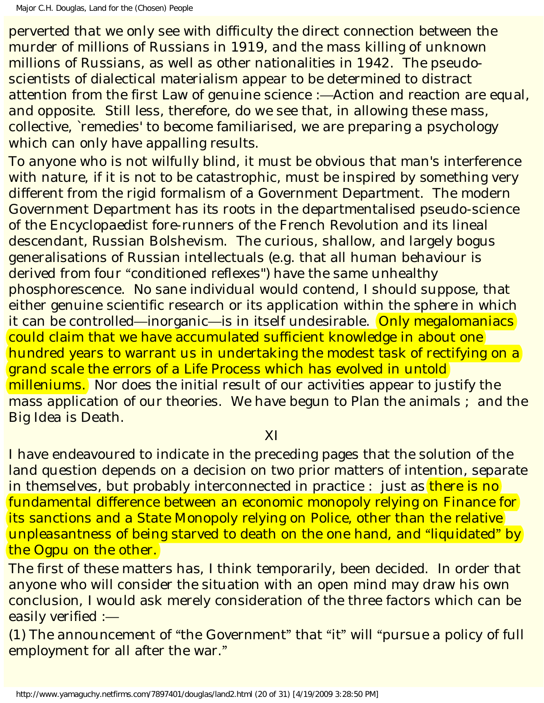perverted that we only see with difficulty the direct connection between the murder of millions of Russians in 1919, and the mass killing of unknown millions of Russians, as well as other nationalities in 1942. The pseudoscientists of dialectical materialism appear to be determined to distract attention from the first Law of genuine science :—Action and reaction are equal, and opposite. Still less, therefore, do we see that, in allowing these mass, collective, `remedies' to become familiarised, we are preparing a psychology which can only have appalling results.

To anyone who is not wilfully blind, it must be obvious that man's interference with nature, if it is not to be catastrophic, must be inspired by something very different from the rigid formalism of a Government Department. The modern Government Department has its roots in the departmentalised pseudo-science of the Encyclopaedist fore-runners of the French Revolution and its lineal descendant, Russian Bolshevism. The curious, shallow, and largely bogus generalisations of Russian intellectuals (*e.g*. that all human behaviour is derived from four "conditioned reflexes") have the same unhealthy phosphorescence. No sane individual would contend, I should suppose, that either genuine scientific research or its application within the sphere in which it can be controlled—inorganic—is in itself undesirable. Only megalomaniacs could claim that we have accumulated sufficient knowledge in about one hundred years to warrant us in undertaking the modest task of rectifying on a grand scale the errors of a Life Process which has evolved in untold milleniums. Nor does the initial result of our activities appear to justify the mass application of our theories. We have begun to Plan the animals ; and the Big Idea is Death.

#### XI

I have endeavoured to indicate in the preceding pages that the solution of the land question depends on a decision on two prior matters of intention, separate in themselves, but probably interconnected in practice : just as there is no fundamental difference between an economic monopoly relying on Finance for its sanctions and a State Monopoly relying on Police, other than the relative unpleasantness of being starved to death on the one hand, and "liquidated" by the Ogpu on the other.

The first of these matters has, I think temporarily, been decided. In order that anyone who will consider the situation with an open mind may draw his own conclusion, I would ask merely consideration of the three factors which can be easily verified :—

(1) The announcement of "the Government" that "it" will "pursue a policy of full employment for all after the war."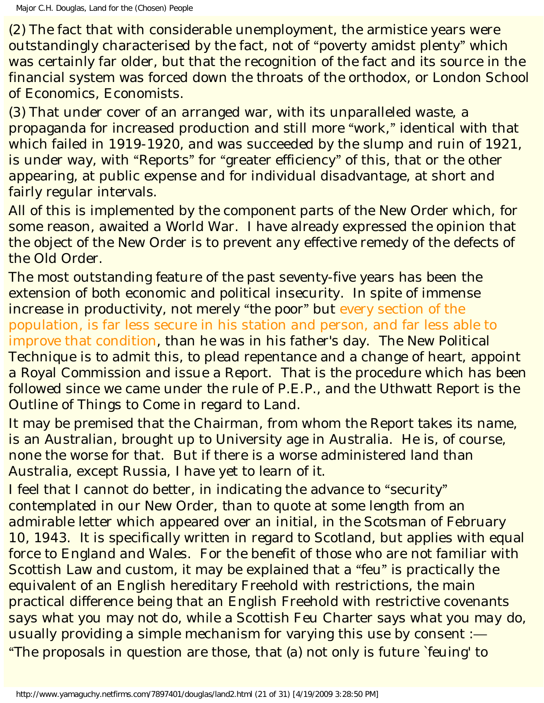(2) The fact that with considerable unemployment, the armistice years were outstandingly characterised by the fact, not of "poverty amidst plenty" which was certainly far older, but that the recognition of the fact and its source in the financial system was forced down the throats of the orthodox, or London School of Economics, Economists.

(3) That under cover of an arranged war, with its unparalleled waste, a propaganda for increased production and still more "work," identical with that which failed in 1919-1920, and was succeeded by the slump and ruin of 1921, is under way, with "Reports" for "greater efficiency" of this, that or the other appearing, at public expense and for individual disadvantage, at short and fairly regular intervals.

All of this is implemented by the component parts of the New Order which, for some reason, awaited a World War. I have already expressed the opinion that the object of the New Order is to prevent any effective remedy of the defects of the Old Order.

The most outstanding feature of the past seventy-five years has been the extension of both economic and political insecurity. In spite of immense increase in productivity, not merely "the poor" but every section of the population, is far less secure in his station and person, and far less able to improve that condition, than he was in his father's day. The New Political Technique is to admit this, to plead repentance and a change of heart, appoint a Royal Commission and issue a Report. That is the procedure which has been followed since we came under the rule of P.E.P., and the Uthwatt Report is the Outline of Things to Come in regard to Land.

It may be premised that the Chairman, from whom the Report takes its name, is an Australian, brought up to University age in Australia. He is, of course, none the worse for that. But if there is a worse administered land than Australia, except Russia, I have yet to learn of it.

I feel that I cannot do better, in indicating the advance to "security" contemplated in our New Order, than to quote at some length from an admirable letter which appeared over an initial, in the *Scotsman* of February 10, 1943. It is specifically written in regard to Scotland, but applies with equal force to England and Wales. For the benefit of those who are not familiar with Scottish Law and custom, it may be explained that a "feu" is practically the equivalent of an English hereditary Freehold with restrictions, the main practical difference being that an English Freehold with restrictive covenants says what you may *not* do, while a Scottish Feu Charter says what you *may* do, usually providing a simple mechanism for varying this use by consent :— "The proposals in question are those, that (a) not only is future `feuing' to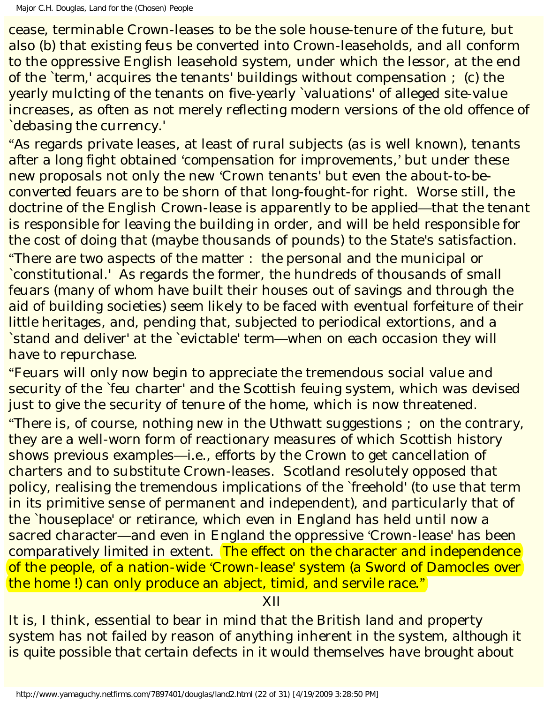cease, terminable Crown-leases to be the sole house-tenure of the future, but also (b) that existing feus be converted into Crown-leaseholds, and all conform to the oppressive English leasehold system, under which the lessor, at the end of the `term,' acquires the tenants' buildings without compensation ; (c) the yearly mulcting of the tenants on five-yearly `valuations' of alleged site-value increases, as often as not merely reflecting modern versions of the old offence of `debasing the currency.'

"As regards private leases, at least of rural subjects (as is well known), tenants after a long fight obtained 'compensation for improvements,' but under these new proposals not only the new 'Crown tenants' but even the about-to-beconverted feuars are to be shorn of that long-fought-for right. Worse still, the doctrine of the English Crown-lease is apparently to be applied—that the tenant is responsible for leaving the building in order, and will be held responsible for the cost of doing that (maybe thousands of pounds) to the State's satisfaction. "There are two aspects of the matter : the personal and the municipal or `constitutional.' As regards the former, the hundreds of thousands of small feuars (many of whom have built their houses out of savings and through the aid of building societies) seem likely to be faced with eventual forfeiture of their little heritages, and, pending that, subjected to periodical extortions, and a `stand and deliver' at the `evictable' term—when on each occasion they will have to repurchase.

"Feuars will only now begin to appreciate the tremendous social value and security of the `feu charter' and the Scottish feuing system, which was devised just to give the security of tenure of the home, which is now threatened. "There is, of course, nothing new in the Uthwatt suggestions ; on the contrary, they are a well-worn form of reactionary measures of which Scottish history shows previous examples—*i.e*., efforts by the Crown to get cancellation of charters and to substitute Crown-leases. Scotland resolutely opposed that policy, realising the tremendous implications of the `freehold' (to use that term in its primitive sense of permanent and independent), and particularly that of the `houseplace' or retirance, which even in England has held until now a sacred character—and even in England the oppressive 'Crown-lease' has been comparatively limited in extent. The effect on the character and independence of the people, of a nation-wide 'Crown-lease' system (a Sword of Damocles over the home !) can only produce an abject, timid, and servile race."

XII

It is, I think, essential to bear in mind that the British land and property system has not failed by reason of anything inherent in the system, *although it is quite possible that certain defects in it would themselves have brought about*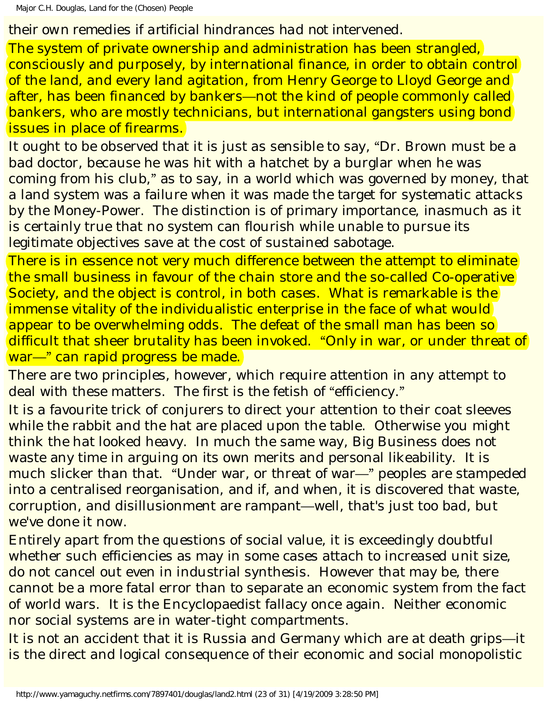Major C.H. Douglas, Land for the (Chosen) People

## *their own remedies if artificial hindrances had not intervened.*

The system of private ownership and administration has been strangled, consciously and purposely, by international finance, in order to obtain control of the land, and every land agitation, from Henry George to Lloyd George and after, has been financed by bankers—not the kind of people commonly called bankers, who are mostly technicians, but international gangsters using bond issues in place of firearms.

It ought to be observed that it is just as sensible to say, "Dr. Brown must be a bad doctor, because he was hit with a hatchet by a burglar when he was coming from his club," as to say, in a world which was governed by money, that a land system was a failure when it was made the target for systematic attacks by the Money-Power. The distinction is of primary importance, inasmuch as it is certainly true that no system can flourish while unable to pursue its legitimate objectives save at the cost of sustained sabotage.

There is in essence not very much difference between the attempt to eliminate the small business in favour of the chain store and the so-called Co-operative Society, and the object is control, in both cases. What is remarkable is the immense vitality of the individualistic enterprise in the face of what would appear to be overwhelming odds. The defeat of the small man has been so difficult that sheer brutality has been invoked. "Only in war, or under threat of war—" can rapid progress be made.

There are two principles, however, which require attention in any attempt to deal with these matters. The first is the fetish of "efficiency."

It is a favourite trick of conjurers to direct your attention to their coat sleeves while the rabbit and the hat are placed upon the table. Otherwise you might think the hat looked heavy. In much the same way, Big Business does not waste any time in arguing on its own merits and personal likeability. It is much slicker than that. "Under war, or threat of war—" peoples are stampeded into a centralised reorganisation, and if, and when, it is discovered that waste, corruption, and disillusionment are rampant—well, that's just too bad, but we've done it now.

Entirely apart from the questions of social value, it is exceedingly doubtful whether such efficiencies as may in some cases attach to increased unit size, do not cancel out even in industrial synthesis. However that may be, there cannot be a more fatal error than to separate an economic system from the fact of world wars. It is the Encyclopaedist fallacy once again. Neither economic nor social systems are in water-tight compartments.

It is not an accident that it is Russia and Germany which are at death grips—it is the direct and logical consequence of their economic and social monopolistic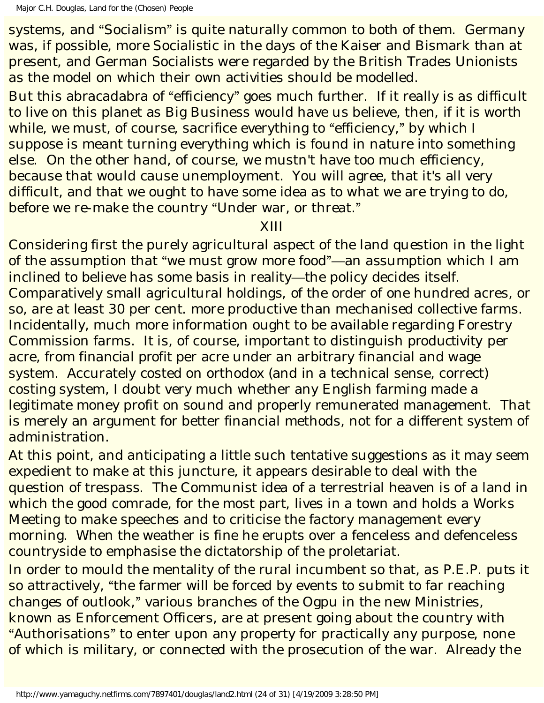systems, and "Socialism" is quite naturally common to both of them. Germany was, if possible, more Socialistic in the days of the Kaiser and Bismark than at present, and German Socialists were regarded by the British Trades Unionists as the model on which their own activities should be modelled.

But this abracadabra of "efficiency" goes much further. If it really is as difficult to live on this planet as Big Business would have us believe, then, if it is worth while, we must, of course, sacrifice everything to "efficiency," by which I suppose is meant turning everything which is found in nature into something else. On the other hand, of course, we mustn't have too much efficiency, because that would cause unemployment. You will agree, that it's all very difficult, and that we ought to have some idea as to what we are trying to do, before we re-make the country "Under war, or threat."

### XIII

Considering first the purely agricultural aspect of the land question in the light of the assumption that "we must grow more food"—an assumption which I am inclined to believe has some basis in reality—the policy decides itself. Comparatively small agricultural holdings, of the order of one hundred acres, or so, are at least 30 per cent. more productive than mechanised collective farms. Incidentally, much more information ought to be available regarding Forestry Commission farms. It is, of course, important to distinguish *productivity* per acre, from *financial profit* per acre under an arbitrary financial and wage system. Accurately costed on orthodox (and in a technical sense, correct) costing system, I doubt very much whether any English farming made a legitimate money profit on sound and properly remunerated management. That is merely an argument for better financial methods, not for a different system of administration.

At this point, and anticipating a little such tentative suggestions as it may seem expedient to make at this juncture, it appears desirable to deal with the question of trespass. The Communist idea of a terrestrial heaven is of a land in which the good comrade, for the most part, lives in a town and holds a Works Meeting to make speeches and to criticise the factory management every morning. When the weather is fine he erupts over a fenceless and defenceless countryside to emphasise the dictatorship of the proletariat.

In order to mould the mentality of the rural incumbent so that, as P.E.P. puts it so attractively, "the farmer will be forced by events to submit to far reaching changes of outlook," various branches of the Ogpu in the new Ministries, known as Enforcement Officers, are at present going about the country with "Authorisations" to enter upon any property for practically any purpose, none of which is military, or connected with the prosecution of the war. Already the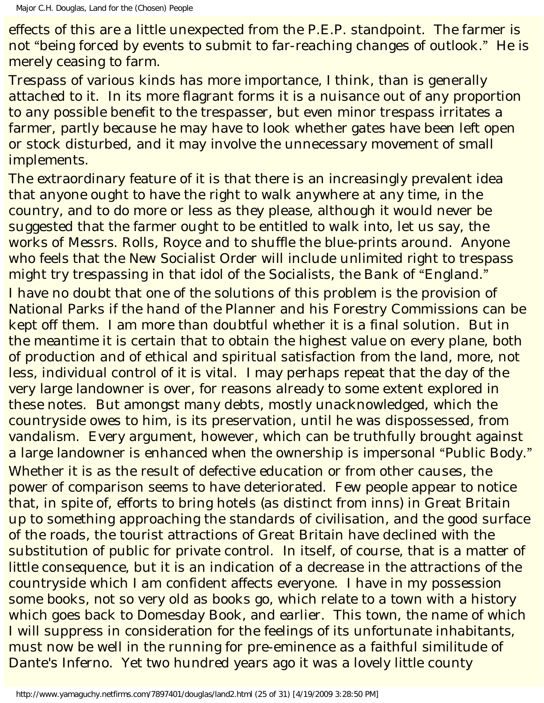effects of this are a little unexpected from the P.E.P. standpoint. The farmer is not "being forced by events to submit to far-reaching changes of outlook." He is merely ceasing to farm.

Trespass of various kinds has more importance, I think, than is generally attached to it. In its more flagrant forms it is a nuisance out of any proportion to any possible benefit to the trespasser, but even minor trespass irritates a farmer, partly because he may have to look whether gates have been left open or stock disturbed, and it may involve the unnecessary movement of small implements.

The extraordinary feature of it is that there is an increasingly prevalent idea that anyone ought to have the right to walk anywhere at any time, in the country, and to do more or less as they please, although it would never be suggested that the farmer ought to be entitled to walk into, let us say, the works of Messrs. Rolls, Royce and to shuffle the blue-prints around. Anyone who feels that the New Socialist Order will include unlimited right to trespass might try trespassing in that idol of the Socialists, the Bank of "England." I have no doubt that one of the solutions of this problem is the provision of National Parks if the hand of the Planner and his Forestry Commissions can be kept off them. I am more than doubtful whether it is a final solution. But in the meantime it is certain that to obtain the highest value on every plane, both of production and of ethical and spiritual satisfaction from the land, more, not less, individual control of it is vital. I may perhaps repeat that the day of the very large landowner is over, for reasons already to some extent explored in these notes. But amongst many debts, mostly unacknowledged, which the countryside owes to him, is its preservation, until he was dispossessed, from vandalism. Every argument, however, which can be truthfully brought against a large landowner is enhanced when the ownership is impersonal "Public Body." Whether it is as the result of defective education or from other causes, the power of comparison seems to have deteriorated. Few people appear to notice that, in spite of, efforts to bring hotels (as distinct from inns) in Great Britain up to something approaching the standards of civilisation, and the good surface of the roads, the tourist attractions of Great Britain have declined with the substitution of public for private control. In itself, of course, that is a matter of little consequence, but it is an indication of a decrease in the attractions of the countryside which I am confident affects everyone. I have in my possession some books, not so very old as books go, which relate to a town with a history which goes back to Domesday Book, and earlier. This town, the name of which I will suppress in consideration for the feelings of its unfortunate inhabitants, must now be well in the running for pre-eminence as a faithful similitude of Dante's Inferno. Yet two hundred years ago it was a lovely little county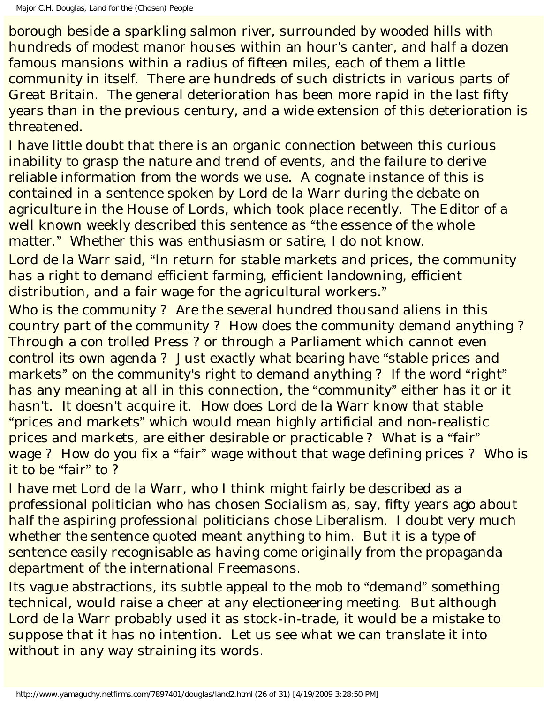borough beside a sparkling salmon river, surrounded by wooded hills with hundreds of modest manor houses within an hour's canter, and half a dozen famous mansions within a radius of fifteen miles, each of them a little community in itself. There are hundreds of such districts in various parts of Great Britain. The general deterioration has been more rapid in the last fifty years than in the previous century, and a wide extension of this deterioration is threatened.

I have little doubt that there is an organic connection between this curious inability to grasp the nature and trend of events, and the failure to derive reliable information from the words we use. A cognate instance of this is contained in a sentence spoken by Lord de la Warr during the debate on agriculture in the House of Lords, which took place recently. The Editor of a well known weekly described this sentence as "the essence of the whole matter." Whether this was enthusiasm or satire, I do not know.

Lord de la Warr said, "In return for stable markets and prices, the community has a right to demand efficient farming, efficient landowning, efficient distribution, and a fair wage for the agricultural workers."

Who is the community ? Are the several hundred thousand aliens in this country part of the community ? How does the community demand anything ? Through a con trolled Press ? or through a Parliament which cannot even control its own agenda ? Just exactly what bearing have "stable prices and markets" on the community's right to demand anything? If the word "right" has any meaning at all in this connection, the "community" either has it or it hasn't. It doesn't acquire it. How does Lord de la Warr know that stable "prices and markets" which would mean highly artificial and non-realistic prices and markets, are either desirable or practicable ? What is a "fair" wage ? How do you fix a "fair" wage without that wage defining prices ? Who is it to be "fair" to ?

I have met Lord de la Warr, who I think might fairly be described as a professional politician who has chosen Socialism as, say, fifty years ago about half the aspiring professional politicians chose Liberalism. I doubt very much whether the sentence quoted meant anything to him. But it is a type of sentence easily recognisable as having come originally from the propaganda department of the international Freemasons.

Its vague abstractions, its subtle appeal to the mob to "demand" something technical, would raise a cheer at any electioneering meeting. But although Lord de la Warr probably used it as stock-in-trade, it would be a mistake to suppose that it has no intention. Let us see what we can translate it into without in any way straining its words.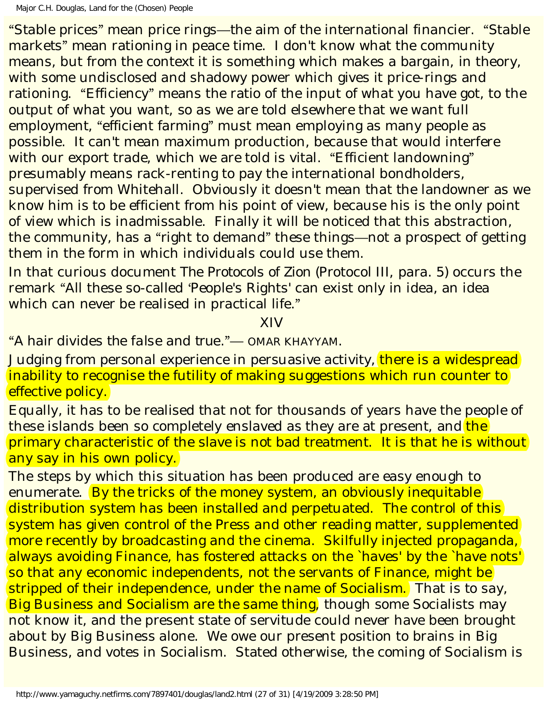"Stable prices" mean price rings—the aim of the international financier. "Stable markets" mean rationing in peace time. I don't know what the community means, but from the context it is something which makes a bargain, in theory, with some undisclosed and shadowy power which gives it price-rings and rationing. "Efficiency" means the ratio of the input of what you have got, to the output of what you want, so as we are told elsewhere that we want full employment, "efficient farming" must mean employing as many people as possible. It can't mean maximum production, because that would interfere with our export trade, which we are told is vital. "Efficient landowning" presumably means rack-renting to pay the international bondholders, supervised from Whitehall. Obviously it doesn't mean that the landowner as we know him is to be efficient from his point of view, because his is the only point of view which is inadmissable. Finally it will be noticed that this abstraction, the community, has a "right to demand" these things—not a prospect of getting them in the form in which individuals could use them.

In that curious document *The Protocols of Zion* (Protocol III, para. 5) occurs the remark "All these so-called 'People's Rights' can exist only in idea, an idea which can never be realised in practical life."

XIV

"*A hair divides the false and true*."— OMAR KHAYYAM.

Judging from personal experience in persuasive activity, there is a widespread inability to recognise the futility of making suggestions which run counter to effective policy.

Equally, it has to be realised that not for thousands of years have the people of these islands been so completely enslaved as they are at present, and the primary characteristic of the slave is not bad treatment. It is that he is without any say in his own policy.

The steps by which this situation has been produced are easy enough to enumerate. By the tricks of the money system, an obviously inequitable distribution system has been installed and perpetuated. The control of this system has given control of the Press and other reading matter, supplemented more recently by broadcasting and the cinema. Skilfully injected propaganda, always avoiding Finance, has fostered attacks on the `haves' by the `have nots' so that any economic independents, not the servants of Finance, might be stripped of their independence, under the name of Socialism. That is to say, Big Business and Socialism are the same thing, though some Socialists may not know it, and the present state of servitude could never have been brought about by Big Business alone. We owe our present position to brains in Big Business, and votes in Socialism. Stated otherwise, the coming of Socialism is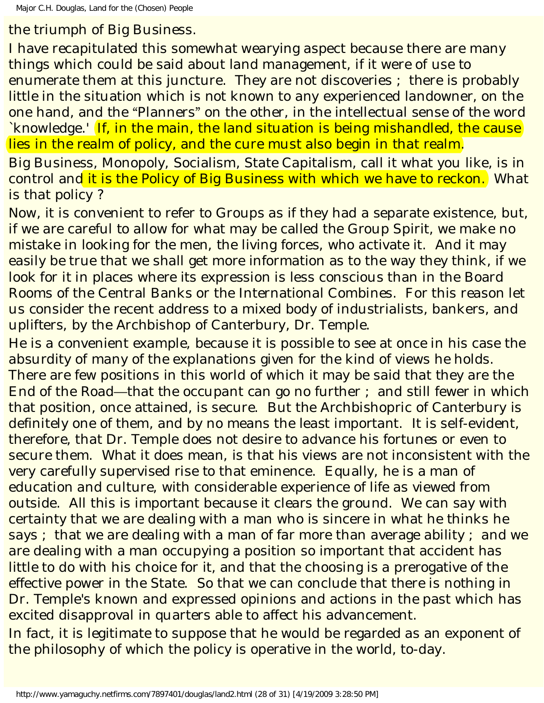the triumph of Big Business.

I have recapitulated this somewhat wearying aspect because there are many things which could be said about land management, if it were of use to enumerate them at this juncture. They are not discoveries ; there is probably little in the situation which is not known to any experienced landowner, on the one hand, and the "Planners" on the other, in the intellectual sense of the word `knowledge.' If, in the main, the land situation is being mishandled, the cause lies in the realm of policy, and the cure must also begin in that realm.

Big Business, Monopoly, Socialism, State Capitalism, call it what you like, is in control and it is the Policy of Big Business with which we have to reckon. What is that policy ?

Now, it is convenient to refer to Groups as if they had a separate existence, but, if we are careful to allow for what may be called the Group Spirit, we make no mistake in looking for the men, the living forces, who activate it. And it may easily be true that we shall get more information as to the way they think, if we look for it in places where its expression is less conscious than in the Board Rooms of the Central Banks or the International Combines. For this reason let us consider the recent address to a mixed body of industrialists, bankers, and uplifters, by the Archbishop of Canterbury, Dr. Temple.

He is a convenient example, because it is possible to see at once in his case the absurdity of many of the explanations given for the kind of views he holds. There are few positions in this world of which it may be said that they are the End of the Road—that the occupant can go no further ; and still fewer in which that position, once attained, is secure. But the Archbishopric of Canterbury is definitely one of them, and by no means the least important. It is self-evident, therefore, that Dr. Temple does not desire to advance his fortunes or even to secure them. What it does mean, is that his views are not inconsistent with the very carefully supervised rise to that eminence. Equally, he is a man of education and culture, with considerable experience of life as viewed from outside. All this is important because it clears the ground. We can say with certainty that we are dealing with a man who is sincere in what he thinks he says ; that we are dealing with a man of far more than average ability ; and we are dealing with a man occupying a position so important that accident has little to do with his choice for it, and that the choosing is a prerogative of the effective power in the State. So that we can conclude that there is nothing in Dr. Temple's known and expressed opinions and actions in the past which has excited disapproval in quarters able to affect his advancement.

In fact, it is legitimate to suppose that he would be regarded as an exponent of the philosophy of which the policy is operative in the world, to-day.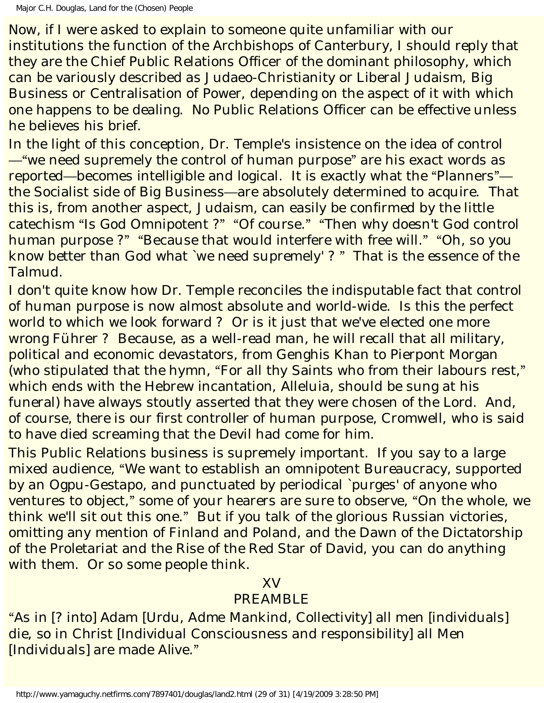Now, if I were asked to explain to someone quite unfamiliar with our institutions the function of the Archbishops of Canterbury, I should reply that they are the Chief Public Relations Officer of the dominant philosophy, which can be variously described as Judaeo-Christianity or Liberal Judaism, Big Business or Centralisation of Power, depending on the aspect of it with which one happens to be dealing. No Public Relations Officer can be effective unless he believes his brief.

In the light of this conception, Dr. Temple's insistence on the idea of control —"we need supremely the control of human purpose" are his exact words as reported—becomes intelligible and logical. It is exactly what the "Planners" the Socialist side of Big Business—are absolutely determined to acquire. That this is, from another aspect, Judaism, can easily be confirmed by the little catechism "Is God Omnipotent ?" "Of course." "Then why doesn't God control human purpose ?" "Because that would interfere with free will." "Oh, so you know better than God what `we need supremely' ? " That is the essence of the Talmud.

I don't quite know how Dr. Temple reconciles the indisputable fact that control of human purpose is now almost absolute and world-wide. Is this the perfect world to which we look forward ? Or is it just that we've elected one more wrong Führer ? Because, as a well-read man, he will recall that all military, political and economic devastators, from Genghis Khan to Pierpont Morgan (who stipulated that the hymn, "For all thy Saints who from their labours rest," which ends with the Hebrew incantation, Alleluia, should be sung at his funeral) have always stoutly asserted that they were chosen of the Lord. And, of course, there is our first controller of human purpose, Cromwell, who is said to have died screaming that the Devil had come for him.

This Public Relations business is supremely important. If you say to a large mixed audience, "We want to establish an omnipotent Bureaucracy, supported by an Ogpu-Gestapo, and punctuated by periodical `purges' of anyone who ventures to object," some of your hearers are sure to observe, "On the whole, we think we'll sit out this one." But if you talk of the glorious Russian victories, omitting any mention of Finland and Poland, and the Dawn of the Dictatorship of the Proletariat and the Rise of the Red Star of David, you can do anything with them. Or so some people think.

## XV

# PREAMBLE

"As in [? into] Adam [Urdu, *Adme* Mankind, Collectivity] all men [individuals] die, so in Christ [Individual Consciousness and responsibility] all Men [Individuals] are made *Alive*."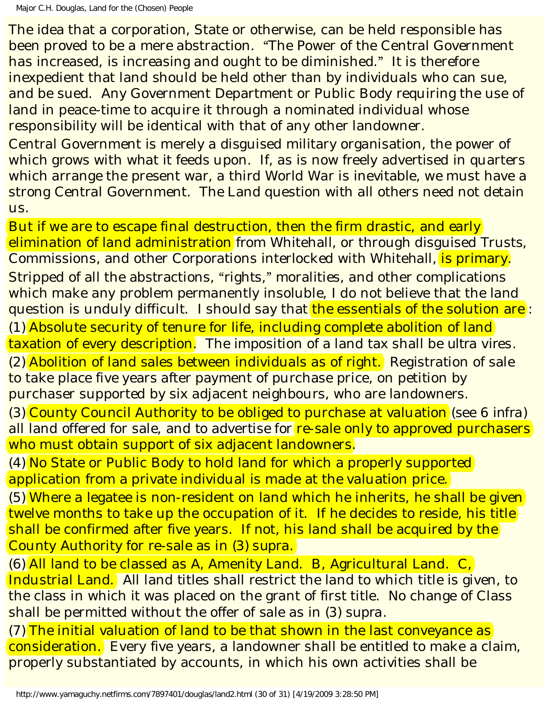The idea that a corporation, State or otherwise, can be held responsible has been proved to be a mere abstraction. "The Power of the Central Government has increased, is increasing and ought to be diminished." It is therefore inexpedient that land should be held other than by individuals who can sue, and be sued. Any Government Department or Public Body requiring the use of land in peace-time to acquire it through a nominated individual whose responsibility will be identical with that of any other landowner.

Central Government is merely a disguised military organisation, the power of which grows with what it feeds upon. If, as is now freely advertised in quarters which arrange the present war, a third World War is inevitable, we must have a strong Central Government. The Land question with all others need not detain us.

But if we are to escape final destruction, then the firm drastic, and early elimination of land administration from Whitehall, or through disguised Trusts, Commissions, and other Corporations interlocked with Whitehall, is primary. Stripped of all the abstractions, "rights," moralities, and other complications which make any problem permanently insoluble, I do not believe that the land question is unduly difficult. I should say that the essentials of the solution are: (1) Absolute security of tenure for life, including complete abolition of land taxation of every description. The imposition of a land tax shall be *ultra vires*. (2) Abolition of land sales between individuals as of right. Registration of sale to take place five years after payment of purchase price, on petition by purchaser supported by six adjacent neighbours, who are landowners.

(3) County Council Authority to be obliged to purchase at valuation (see 6 *infra*) all land offered for sale, and to advertise for re-sale only to approved purchasers who must obtain support of six adjacent landowners.

(4) No State or Public Body to hold land for which a properly supported application from a private individual is made at the valuation price.

(5) Where a legatee is non-resident on land which he inherits, he shall be given twelve months to take up the occupation of it. If he decides to reside, his title shall be confirmed after five years. If not, his land shall be acquired by the County Authority for re-sale as in (3) *supra*.

(6) All land to be classed as A, Amenity Land. B, Agricultural Land. C, Industrial Land. All land titles shall restrict the land to which title is given, to the class in which it was placed on the grant of first title. No change of Class shall be permitted without the offer of sale as in (3) *supra*.

 $(7)$  The initial valuation of land to be that shown in the last conveyance as consideration. Every five years, a landowner shall be entitled to make a claim, properly substantiated by accounts, in which his own activities shall be